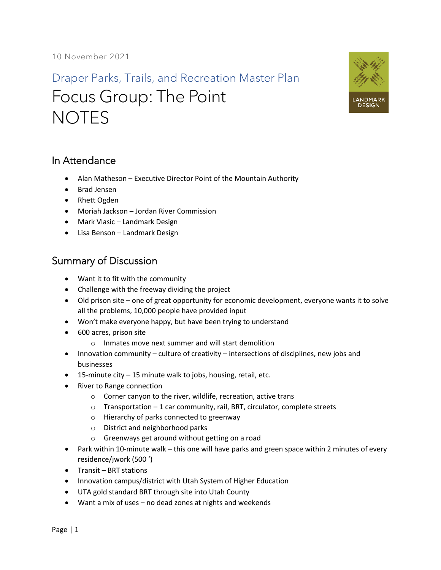## Draper Parks, Trails, and Recreation Master Plan Focus Group: The Point **NOTES**



## In Attendance

- Alan Matheson Executive Director Point of the Mountain Authority
- Brad Jensen
- Rhett Ogden
- Moriah Jackson Jordan River Commission
- Mark Vlasic Landmark Design
- Lisa Benson Landmark Design

## Summary of Discussion

- Want it to fit with the community
- Challenge with the freeway dividing the project
- Old prison site one of great opportunity for economic development, everyone wants it to solve all the problems, 10,000 people have provided input
- Won't make everyone happy, but have been trying to understand
- 600 acres, prison site
	- o Inmates move next summer and will start demolition
- Innovation community culture of creativity intersections of disciplines, new jobs and businesses
- 15-minute city 15 minute walk to jobs, housing, retail, etc.
- River to Range connection
	- o Corner canyon to the river, wildlife, recreation, active trans
	- $\circ$  Transportation 1 car community, rail, BRT, circulator, complete streets
	- o Hierarchy of parks connected to greenway
	- o District and neighborhood parks
	- o Greenways get around without getting on a road
- Park within 10-minute walk this one will have parks and green space within 2 minutes of every residence/jwork (500 ')
- Transit BRT stations
- Innovation campus/district with Utah System of Higher Education
- UTA gold standard BRT through site into Utah County
- Want a mix of uses no dead zones at nights and weekends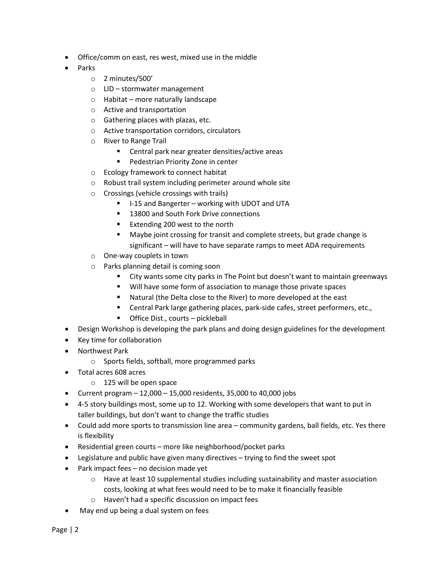- Office/comm on east, res west, mixed use in the middle
- Parks
	- o 2 minutes/500'
	- o LID stormwater management
	- o Habitat more naturally landscape
	- o Active and transportation
	- o Gathering places with plazas, etc.
	- o Active transportation corridors, circulators
	- o River to Range Trail
		- Central park near greater densities/active areas
		- **Pedestrian Priority Zone in center**
	- o Ecology framework to connect habitat
	- o Robust trail system including perimeter around whole site
	- o Crossings (vehicle crossings with trails)
		- I-15 and Bangerter working with UDOT and UTA
		- **13800 and South Fork Drive connections**
		- Extending 200 west to the north
		- Maybe joint crossing for transit and complete streets, but grade change is significant – will have to have separate ramps to meet ADA requirements
	- o One-way couplets in town
	- o Parks planning detail is coming soon
		- City wants some city parks in The Point but doesn't want to maintain greenways
		- **Will have some form of association to manage those private spaces**
		- Natural (the Delta close to the River) to more developed at the east
		- Central Park large gathering places, park-side cafes, street performers, etc.,
		- Office Dist., courts pickleball
- Design Workshop is developing the park plans and doing design guidelines for the development
- Key time for collaboration
- Northwest Park
	- o Sports fields, softball, more programmed parks
- Total acres 608 acres
	- o 125 will be open space
- Current program  $-12,000 15,000$  residents, 35,000 to 40,000 jobs
- 4-5 story buildings most, some up to 12. Working with some developers that want to put in taller buildings, but don't want to change the traffic studies
- Could add more sports to transmission line area community gardens, ball fields, etc. Yes there is flexibility
- Residential green courts more like neighborhood/pocket parks
- Legislature and public have given many directives trying to find the sweet spot
- Park impact fees no decision made yet
	- $\circ$  Have at least 10 supplemental studies including sustainability and master association costs, looking at what fees would need to be to make it financially feasible
	- o Haven't had a specific discussion on impact fees
- May end up being a dual system on fees